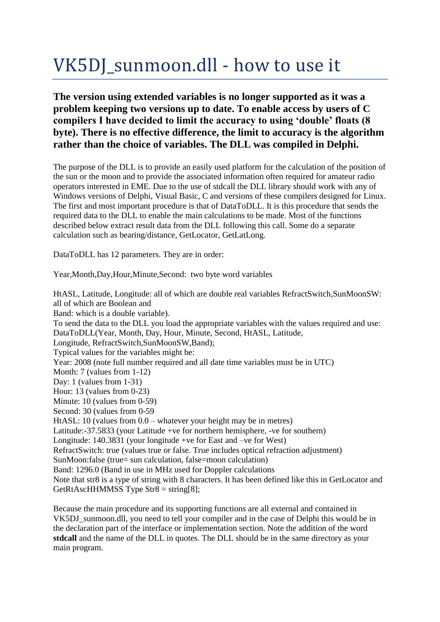# VK5DJ\_sunmoon.dll - how to use it

## **The version using extended variables is no longer supported as it was a problem keeping two versions up to date. To enable access by users of C compilers I have decided to limit the accuracy to using 'double' floats (8 byte). There is no effective difference, the limit to accuracy is the algorithm rather than the choice of variables. The DLL was compiled in Delphi.**

The purpose of the DLL is to provide an easily used platform for the calculation of the position of the sun or the moon and to provide the associated information often required for amateur radio operators interested in EME. Due to the use of stdcall the DLL library should work with any of Windows versions of Delphi, Visual Basic, C and versions of these compilers designed for Linux. The first and most important procedure is that of DataToDLL. It is this procedure that sends the required data to the DLL to enable the main calculations to be made. Most of the functions described below extract result data from the DLL following this call. Some do a separate calculation such as bearing/distance, GetLocator, GetLatLong.

DataToDLL has 12 parameters. They are in order:

Year,Month,Day,Hour,Minute,Second: two byte word variables

HtASL, Latitude, Longitude: all of which are double real variables RefractSwitch,SunMoonSW: all of which are Boolean and Band: which is a double variable). To send the data to the DLL you load the appropriate variables with the values required and use: DataToDLL(Year, Month, Day, Hour, Minute, Second, HtASL, Latitude, Longitude, RefractSwitch,SunMoonSW,Band); Typical values for the variables might be: Year: 2008 (note full number required and all date time variables must be in UTC) Month: 7 (values from 1-12) Day: 1 (values from 1-31) Hour: 13 (values from 0-23) Minute: 10 (values from 0-59) Second: 30 (values from 0-59 HtASL: 10 (values from 0.0 – whatever your height may be in metres) Latitude:-37.5833 (your Latitude +ve for northern hemisphere, -ve for southern) Longitude: 140.3831 (your longitude +ve for East and –ve for West) RefractSwitch: true (values true or false. True includes optical refraction adjustment) SunMoon:false (true= sun calculation, false=moon calculation) Band: 1296.0 (Band in use in MHz used for Doppler calculations Note that str8 is a type of string with 8 characters. It has been defined like this in GetLocator and GetRtAscHHMMSS Type Str8 = string[8]:

Because the main procedure and its supporting functions are all external and contained in VK5DJ sunmoon.dll, you need to tell your compiler and in the case of Delphi this would be in the declaration part of the interface or implementation section. Note the addition of the word **stdcall** and the name of the DLL in quotes. The DLL should be in the same directory as your main program.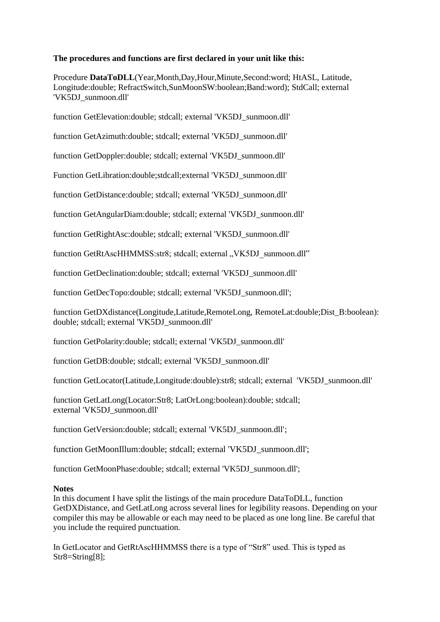### **The procedures and functions are first declared in your unit like this:**

Procedure **DataToDLL**(Year,Month,Day,Hour,Minute,Second:word; HtASL, Latitude, Longitude:double; RefractSwitch,SunMoonSW:boolean;Band:word); StdCall; external 'VK5DJ\_sunmoon.dll'

function GetElevation:double; stdcall; external 'VK5DJ\_sunmoon.dll'

function GetAzimuth:double; stdcall; external 'VK5DJ\_sunmoon.dll'

function GetDoppler:double; stdcall; external 'VK5DJ\_sunmoon.dll'

Function GetLibration:double;stdcall;external 'VK5DJ\_sunmoon.dll'

function GetDistance:double; stdcall; external 'VK5DJ\_sunmoon.dll'

function GetAngularDiam:double; stdcall; external 'VK5DJ\_sunmoon.dll'

function GetRightAsc:double; stdcall; external 'VK5DJ\_sunmoon.dll'

function GetRtAscHHMMSS:str8; stdcall; external "VK5DJ\_sunmoon.dll"

function GetDeclination:double; stdcall; external 'VK5DJ\_sunmoon.dll'

function GetDecTopo:double; stdcall; external 'VK5DJ\_sunmoon.dll';

function GetDXdistance(Longitude,Latitude,RemoteLong, RemoteLat:double;Dist\_B:boolean): double; stdcall; external 'VK5DJ\_sunmoon.dll'

function GetPolarity:double; stdcall; external 'VK5DJ\_sunmoon.dll'

function GetDB:double; stdcall; external 'VK5DJ\_sunmoon.dll'

function GetLocator(Latitude,Longitude:double):str8; stdcall; external 'VK5DJ\_sunmoon.dll'

function GetLatLong(Locator:Str8; LatOrLong:boolean):double; stdcall; external 'VK5DJ\_sunmoon.dll'

function GetVersion:double; stdcall; external 'VK5DJ\_sunmoon.dll';

function GetMoonIllum:double; stdcall; external 'VK5DJ\_sunmoon.dll';

function GetMoonPhase:double; stdcall; external 'VK5DJ\_sunmoon.dll';

### **Notes**

In this document I have split the listings of the main procedure DataToDLL, function GetDXDistance, and GetLatLong across several lines for legibility reasons. Depending on your compiler this may be allowable or each may need to be placed as one long line. Be careful that you include the required punctuation.

In GetLocator and GetRtAscHHMMSS there is a type of "Str8" used. This is typed as Str8=String[8];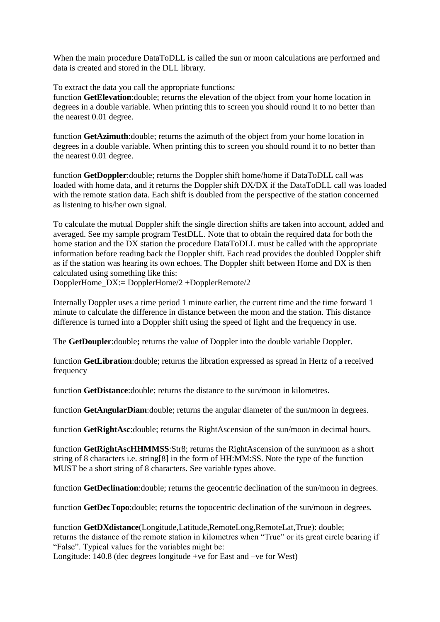When the main procedure DataToDLL is called the sun or moon calculations are performed and data is created and stored in the DLL library.

To extract the data you call the appropriate functions:

function **GetElevation**:double; returns the elevation of the object from your home location in degrees in a double variable. When printing this to screen you should round it to no better than the nearest 0.01 degree.

function **GetAzimuth**:double; returns the azimuth of the object from your home location in degrees in a double variable. When printing this to screen you should round it to no better than the nearest 0.01 degree.

function **GetDoppler**:double; returns the Doppler shift home/home if DataToDLL call was loaded with home data, and it returns the Doppler shift DX/DX if the DataToDLL call was loaded with the remote station data. Each shift is doubled from the perspective of the station concerned as listening to his/her own signal.

To calculate the mutual Doppler shift the single direction shifts are taken into account, added and averaged. See my sample program TestDLL. Note that to obtain the required data for both the home station and the DX station the procedure DataToDLL must be called with the appropriate information before reading back the Doppler shift. Each read provides the doubled Doppler shift as if the station was hearing its own echoes. The Doppler shift between Home and DX is then calculated using something like this:

DopplerHome\_DX:= DopplerHome/2 +DopplerRemote/2

Internally Doppler uses a time period 1 minute earlier, the current time and the time forward 1 minute to calculate the difference in distance between the moon and the station. This distance difference is turned into a Doppler shift using the speed of light and the frequency in use.

The **GetDoupler**:double**;** returns the value of Doppler into the double variable Doppler.

function **GetLibration**:double; returns the libration expressed as spread in Hertz of a received frequency

function **GetDistance**:double; returns the distance to the sun/moon in kilometres.

function **GetAngularDiam**:double; returns the angular diameter of the sun/moon in degrees.

function **GetRightAsc**:double; returns the RightAscension of the sun/moon in decimal hours.

function **GetRightAscHHMMSS**:Str8; returns the RightAscension of the sun/moon as a short string of 8 characters i.e. string[8] in the form of HH:MM:SS. Note the type of the function MUST be a short string of 8 characters. See variable types above.

function **GetDeclination**:double; returns the geocentric declination of the sun/moon in degrees.

function **GetDecTopo**: double; returns the topocentric declination of the sun/moon in degrees.

function **GetDXdistance**(Longitude,Latitude,RemoteLong,RemoteLat,True): double; returns the distance of the remote station in kilometres when "True" or its great circle bearing if "False". Typical values for the variables might be:

Longitude: 140.8 (dec degrees longitude +ve for East and –ve for West)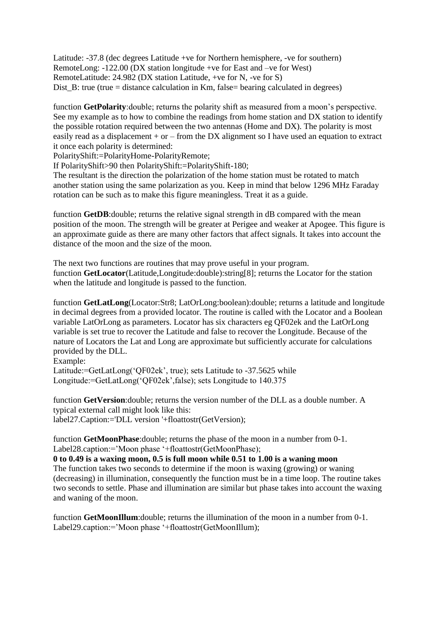Latitude: -37.8 (dec degrees Latitude +ve for Northern hemisphere, -ve for southern) RemoteLong: -122.00 (DX station longitude +ve for East and –ve for West) RemoteLatitude: 24.982 (DX station Latitude, +ve for N, -ve for S) Dist  $B$ : true (true = distance calculation in Km, false= bearing calculated in degrees)

function **GetPolarity**:double; returns the polarity shift as measured from a moon's perspective. See my example as to how to combine the readings from home station and DX station to identify the possible rotation required between the two antennas (Home and DX). The polarity is most easily read as a displacement  $+$  or  $-$  from the DX alignment so I have used an equation to extract it once each polarity is determined:

PolarityShift:=PolarityHome-PolarityRemote;

If PolarityShift>90 then PolarityShift:=PolarityShift-180;

The resultant is the direction the polarization of the home station must be rotated to match another station using the same polarization as you. Keep in mind that below 1296 MHz Faraday rotation can be such as to make this figure meaningless. Treat it as a guide.

function **GetDB**: double; returns the relative signal strength in dB compared with the mean position of the moon. The strength will be greater at Perigee and weaker at Apogee. This figure is an approximate guide as there are many other factors that affect signals. It takes into account the distance of the moon and the size of the moon.

The next two functions are routines that may prove useful in your program. function **GetLocator**(Latitude,Longitude:double):string[8]; returns the Locator for the station when the latitude and longitude is passed to the function.

function **GetLatLong**(Locator:Str8; LatOrLong:boolean):double; returns a latitude and longitude in decimal degrees from a provided locator. The routine is called with the Locator and a Boolean variable LatOrLong as parameters. Locator has six characters eg QF02ek and the LatOrLong variable is set true to recover the Latitude and false to recover the Longitude. Because of the nature of Locators the Lat and Long are approximate but sufficiently accurate for calculations provided by the DLL.

Example:

Latitude:=GetLatLong('QF02ek', true); sets Latitude to -37.5625 while Longitude:=GetLatLong('QF02ek',false); sets Longitude to 140.375

function **GetVersion**:double; returns the version number of the DLL as a double number. A typical external call might look like this: label27.Caption:='DLL version '+floattostr(GetVersion);

function **GetMoonPhase**:double; returns the phase of the moon in a number from 0-1. Label28.caption:='Moon phase '+floattostr(GetMoonPhase);

**0 to 0.49 is a waxing moon, 0.5 is full moon while 0.51 to 1.00 is a waning moon** The function takes two seconds to determine if the moon is waxing (growing) or waning (decreasing) in illumination, consequently the function must be in a time loop. The routine takes two seconds to settle. Phase and illumination are similar but phase takes into account the waxing and waning of the moon.

function **GetMoonIllum**:double; returns the illumination of the moon in a number from 0-1. Label29.caption:='Moon phase '+floattostr(GetMoonIllum);